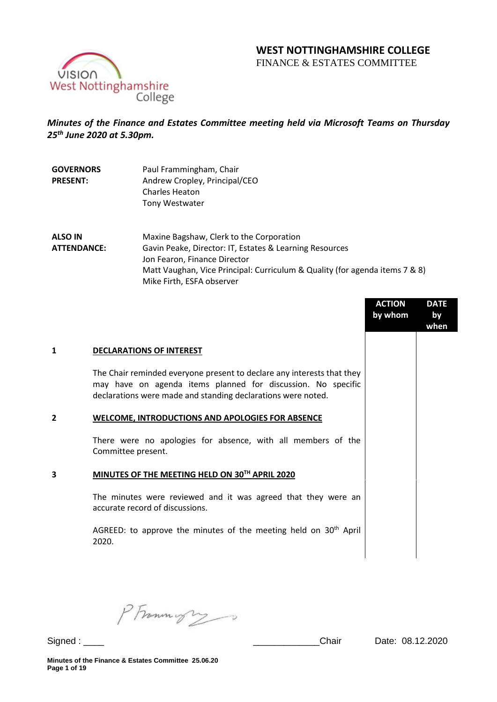# **WEST NOTTINGHAMSHIRE COLLEGE**

FINANCE & ESTATES COMMITTEE



## *Minutes of the Finance and Estates Committee meeting held via Microsoft Teams on Thursday 25 th June 2020 at 5.30pm.*

| <b>GOVERNORS</b> | Paul Frammingham, Chair       |
|------------------|-------------------------------|
| <b>PRESENT:</b>  | Andrew Cropley, Principal/CEO |
|                  | <b>Charles Heaton</b>         |
|                  | Tony Westwater                |

**ALSO IN ATTENDANCE:** Maxine Bagshaw, Clerk to the Corporation Gavin Peake, Director: IT, Estates & Learning Resources Jon Fearon, Finance Director Matt Vaughan, Vice Principal: Curriculum & Quality (for agenda items 7 & 8) Mike Firth, ESFA observer

|                |                                                                                                                                                                                                        | <b>ACTION</b><br>by whom | <b>DATE</b><br>by<br>when |
|----------------|--------------------------------------------------------------------------------------------------------------------------------------------------------------------------------------------------------|--------------------------|---------------------------|
| 1              | <b>DECLARATIONS OF INTEREST</b>                                                                                                                                                                        |                          |                           |
|                | The Chair reminded everyone present to declare any interests that they<br>may have on agenda items planned for discussion. No specific<br>declarations were made and standing declarations were noted. |                          |                           |
| $\overline{2}$ | WELCOME, INTRODUCTIONS AND APOLOGIES FOR ABSENCE                                                                                                                                                       |                          |                           |
|                | There were no apologies for absence, with all members of the<br>Committee present.                                                                                                                     |                          |                           |
| 3              | MINUTES OF THE MEETING HELD ON 30TH APRIL 2020                                                                                                                                                         |                          |                           |
|                | The minutes were reviewed and it was agreed that they were an<br>accurate record of discussions.                                                                                                       |                          |                           |
|                | AGREED: to approve the minutes of the meeting held on $30th$ April<br>2020.                                                                                                                            |                          |                           |
|                |                                                                                                                                                                                                        |                          |                           |

PFrommigry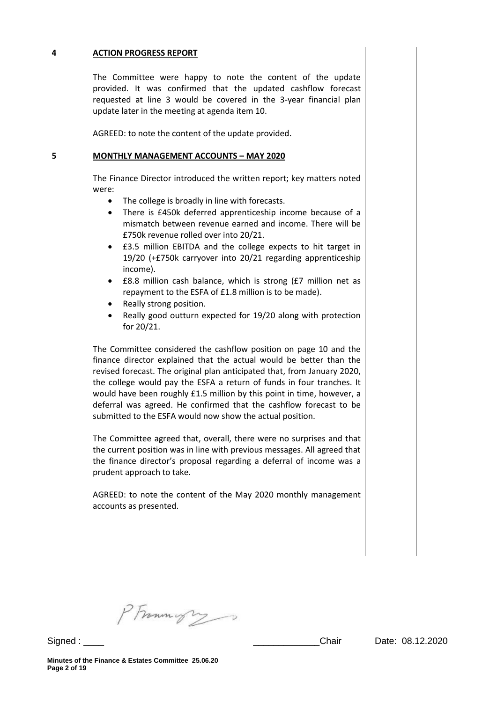### **4 ACTION PROGRESS REPORT**

The Committee were happy to note the content of the update provided. It was confirmed that the updated cashflow forecast requested at line 3 would be covered in the 3-year financial plan update later in the meeting at agenda item 10.

AGREED: to note the content of the update provided.

#### **5 MONTHLY MANAGEMENT ACCOUNTS – MAY 2020**

The Finance Director introduced the written report; key matters noted were:

- The college is broadly in line with forecasts.
- There is £450k deferred apprenticeship income because of a mismatch between revenue earned and income. There will be £750k revenue rolled over into 20/21.
- £3.5 million EBITDA and the college expects to hit target in 19/20 (+£750k carryover into 20/21 regarding apprenticeship income).
- £8.8 million cash balance, which is strong (£7 million net as repayment to the ESFA of £1.8 million is to be made).
- Really strong position.
- Really good outturn expected for 19/20 along with protection for 20/21.

The Committee considered the cashflow position on page 10 and the finance director explained that the actual would be better than the revised forecast. The original plan anticipated that, from January 2020, the college would pay the ESFA a return of funds in four tranches. It would have been roughly £1.5 million by this point in time, however, a deferral was agreed. He confirmed that the cashflow forecast to be submitted to the ESFA would now show the actual position.

The Committee agreed that, overall, there were no surprises and that the current position was in line with previous messages. All agreed that the finance director's proposal regarding a deferral of income was a prudent approach to take.

AGREED: to note the content of the May 2020 monthly management accounts as presented.

PFrommigry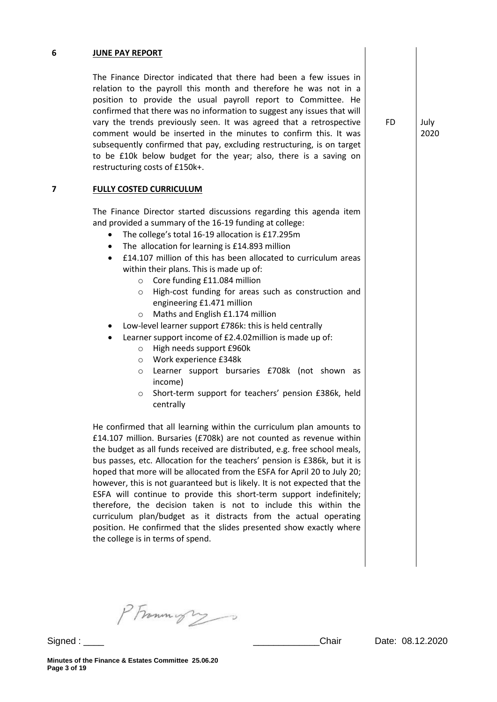### **6 JUNE PAY REPORT**

The Finance Director indicated that there had been a few issues in relation to the payroll this month and therefore he was not in a position to provide the usual payroll report to Committee. He confirmed that there was no information to suggest any issues that will vary the trends previously seen. It was agreed that a retrospective comment would be inserted in the minutes to confirm this. It was subsequently confirmed that pay, excluding restructuring, is on target to be £10k below budget for the year; also, there is a saving on restructuring costs of £150k+.

### **7 FULLY COSTED CURRICULUM**

The Finance Director started discussions regarding this agenda item and provided a summary of the 16-19 funding at college:

- The college's total 16-19 allocation is £17.295m
- The allocation for learning is £14.893 million
- £14.107 million of this has been allocated to curriculum areas within their plans. This is made up of:
	- o Core funding £11.084 million
	- o High-cost funding for areas such as construction and engineering £1.471 million
	- o Maths and English £1.174 million
- Low-level learner support £786k: this is held centrally
- Learner support income of £2.4.02million is made up of:
	- o High needs support £960k
	- o Work experience £348k
	- o Learner support bursaries £708k (not shown as income)
	- o Short-term support for teachers' pension £386k, held centrally

He confirmed that all learning within the curriculum plan amounts to £14.107 million. Bursaries (£708k) are not counted as revenue within the budget as all funds received are distributed, e.g. free school meals, bus passes, etc. Allocation for the teachers' pension is £386k, but it is hoped that more will be allocated from the ESFA for April 20 to July 20; however, this is not guaranteed but is likely. It is not expected that the ESFA will continue to provide this short-term support indefinitely; therefore, the decision taken is not to include this within the curriculum plan/budget as it distracts from the actual operating position. He confirmed that the slides presented show exactly where the college is in terms of spend.

PFrommys

FD July 2020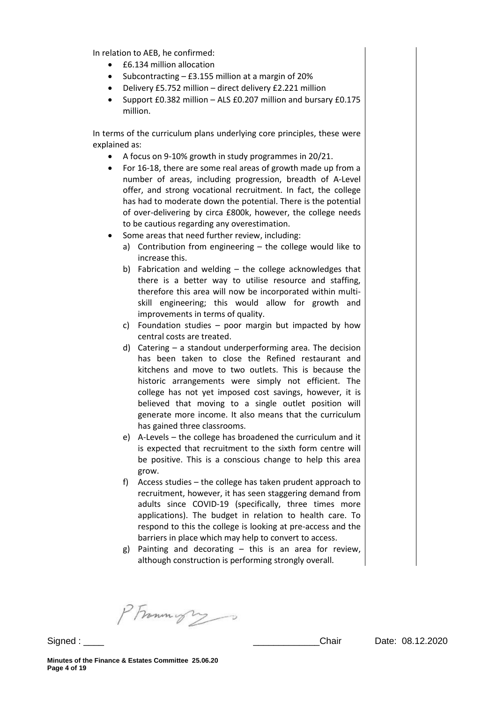In relation to AEB, he confirmed:

- £6.134 million allocation
- Subcontracting  $-$  £3.155 million at a margin of 20%
- Delivery £5.752 million direct delivery £2.221 million
- Support £0.382 million ALS £0.207 million and bursary £0.175 million.

In terms of the curriculum plans underlying core principles, these were explained as:

- $\bullet$  A focus on 9-10% growth in study programmes in 20/21.
- For 16-18, there are some real areas of growth made up from a number of areas, including progression, breadth of A-Level offer, and strong vocational recruitment. In fact, the college has had to moderate down the potential. There is the potential of over-delivering by circa £800k, however, the college needs to be cautious regarding any overestimation.
- Some areas that need further review, including:
	- a) Contribution from engineering the college would like to increase this.
	- b) Fabrication and welding the college acknowledges that there is a better way to utilise resource and staffing, therefore this area will now be incorporated within multiskill engineering; this would allow for growth and improvements in terms of quality.
	- c) Foundation studies poor margin but impacted by how central costs are treated.
	- d) Catering a standout underperforming area. The decision has been taken to close the Refined restaurant and kitchens and move to two outlets. This is because the historic arrangements were simply not efficient. The college has not yet imposed cost savings, however, it is believed that moving to a single outlet position will generate more income. It also means that the curriculum has gained three classrooms.
	- e) A-Levels the college has broadened the curriculum and it is expected that recruitment to the sixth form centre will be positive. This is a conscious change to help this area grow.
	- f) Access studies the college has taken prudent approach to recruitment, however, it has seen staggering demand from adults since COVID-19 (specifically, three times more applications). The budget in relation to health care. To respond to this the college is looking at pre-access and the barriers in place which may help to convert to access.
	- g) Painting and decorating this is an area for review, although construction is performing strongly overall.

PFramingry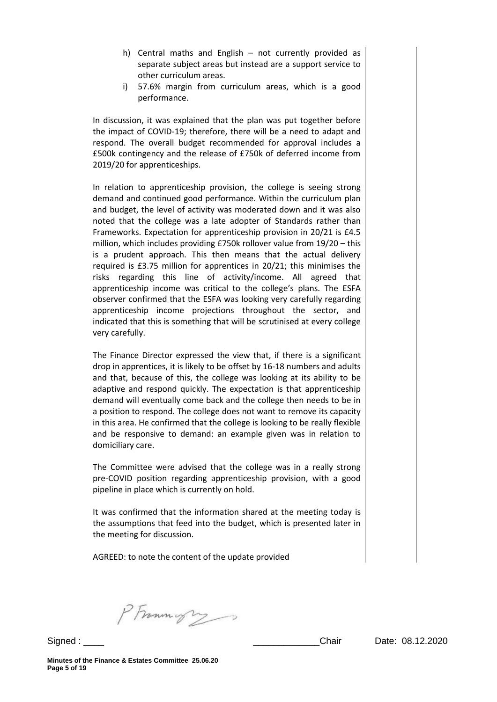- h) Central maths and English not currently provided as separate subject areas but instead are a support service to other curriculum areas.
- i) 57.6% margin from curriculum areas, which is a good performance.

In discussion, it was explained that the plan was put together before the impact of COVID-19; therefore, there will be a need to adapt and respond. The overall budget recommended for approval includes a £500k contingency and the release of £750k of deferred income from 2019/20 for apprenticeships.

In relation to apprenticeship provision, the college is seeing strong demand and continued good performance. Within the curriculum plan and budget, the level of activity was moderated down and it was also noted that the college was a late adopter of Standards rather than Frameworks. Expectation for apprenticeship provision in 20/21 is £4.5 million, which includes providing £750k rollover value from 19/20 – this is a prudent approach. This then means that the actual delivery required is £3.75 million for apprentices in 20/21; this minimises the risks regarding this line of activity/income. All agreed that apprenticeship income was critical to the college's plans. The ESFA observer confirmed that the ESFA was looking very carefully regarding apprenticeship income projections throughout the sector, and indicated that this is something that will be scrutinised at every college very carefully.

The Finance Director expressed the view that, if there is a significant drop in apprentices, it is likely to be offset by 16-18 numbers and adults and that, because of this, the college was looking at its ability to be adaptive and respond quickly. The expectation is that apprenticeship demand will eventually come back and the college then needs to be in a position to respond. The college does not want to remove its capacity in this area. He confirmed that the college is looking to be really flexible and be responsive to demand: an example given was in relation to domiciliary care.

The Committee were advised that the college was in a really strong pre-COVID position regarding apprenticeship provision, with a good pipeline in place which is currently on hold.

It was confirmed that the information shared at the meeting today is the assumptions that feed into the budget, which is presented later in the meeting for discussion.

AGREED: to note the content of the update provided

PFrammight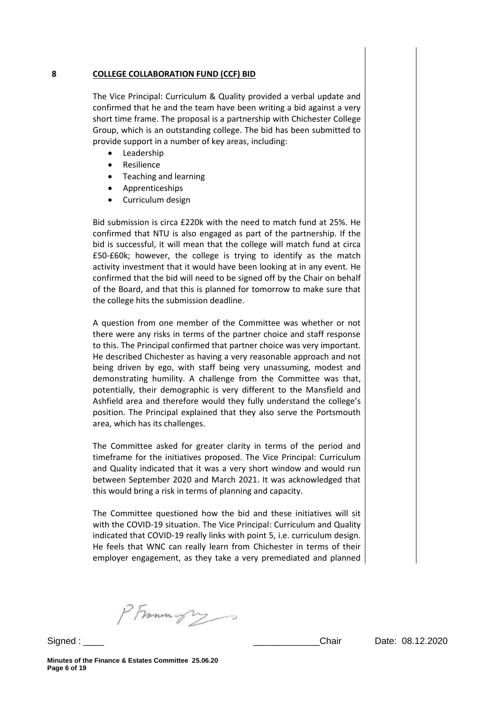#### **8 COLLEGE COLLABORATION FUND (CCF) BID**

The Vice Principal: Curriculum & Quality provided a verbal update and confirmed that he and the team have been writing a bid against a very short time frame. The proposal is a partnership with Chichester College Group, which is an outstanding college. The bid has been submitted to provide support in a number of key areas, including:

- Leadership
- Resilience
- Teaching and learning
- Apprenticeships
- Curriculum design

Bid submission is circa £220k with the need to match fund at 25%. He confirmed that NTU is also engaged as part of the partnership. If the bid is successful, it will mean that the college will match fund at circa £50-£60k; however, the college is trying to identify as the match activity investment that it would have been looking at in any event. He confirmed that the bid will need to be signed off by the Chair on behalf of the Board, and that this is planned for tomorrow to make sure that the college hits the submission deadline.

A question from one member of the Committee was whether or not there were any risks in terms of the partner choice and staff response to this. The Principal confirmed that partner choice was very important. He described Chichester as having a very reasonable approach and not being driven by ego, with staff being very unassuming, modest and demonstrating humility. A challenge from the Committee was that, potentially, their demographic is very different to the Mansfield and Ashfield area and therefore would they fully understand the college's position. The Principal explained that they also serve the Portsmouth area, which has its challenges.

The Committee asked for greater clarity in terms of the period and timeframe for the initiatives proposed. The Vice Principal: Curriculum and Quality indicated that it was a very short window and would run between September 2020 and March 2021. It was acknowledged that this would bring a risk in terms of planning and capacity.

The Committee questioned how the bid and these initiatives will sit with the COVID-19 situation. The Vice Principal: Curriculum and Quality indicated that COVID-19 really links with point 5, i.e. curriculum design. He feels that WNC can really learn from Chichester in terms of their employer engagement, as they take a very premediated and planned

PFrammight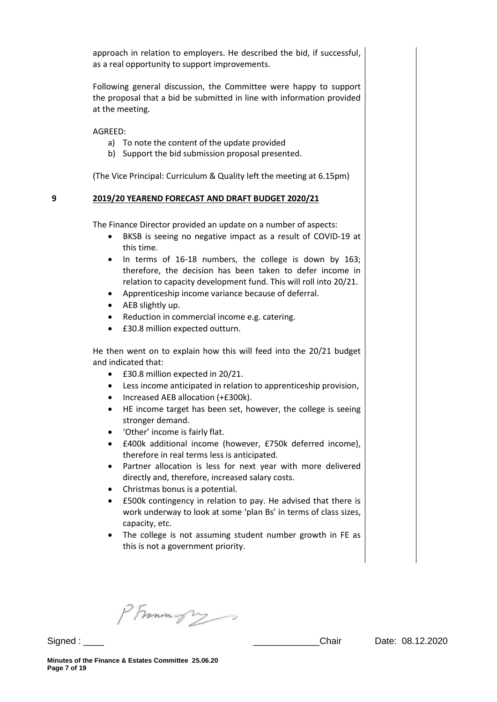approach in relation to employers. He described the bid, if successful, as a real opportunity to support improvements.

Following general discussion, the Committee were happy to support the proposal that a bid be submitted in line with information provided at the meeting.

AGREED:

- a) To note the content of the update provided
- b) Support the bid submission proposal presented.

(The Vice Principal: Curriculum & Quality left the meeting at 6.15pm)

### **9 2019/20 YEAREND FORECAST AND DRAFT BUDGET 2020/21**

The Finance Director provided an update on a number of aspects:

- BKSB is seeing no negative impact as a result of COVID-19 at this time.
- In terms of 16-18 numbers, the college is down by 163; therefore, the decision has been taken to defer income in relation to capacity development fund. This will roll into 20/21.
- Apprenticeship income variance because of deferral.
- AEB slightly up.
- Reduction in commercial income e.g. catering.
- £30.8 million expected outturn.

He then went on to explain how this will feed into the 20/21 budget and indicated that:

- £30.8 million expected in 20/21.
- Less income anticipated in relation to apprenticeship provision,
- Increased AEB allocation (+£300k).
- HE income target has been set, however, the college is seeing stronger demand.
- 'Other' income is fairly flat.
- £400k additional income (however, £750k deferred income), therefore in real terms less is anticipated.
- Partner allocation is less for next year with more delivered directly and, therefore, increased salary costs.
- Christmas bonus is a potential.
- £500k contingency in relation to pay. He advised that there is work underway to look at some 'plan Bs' in terms of class sizes, capacity, etc.
- The college is not assuming student number growth in FE as this is not a government priority.

PFrammign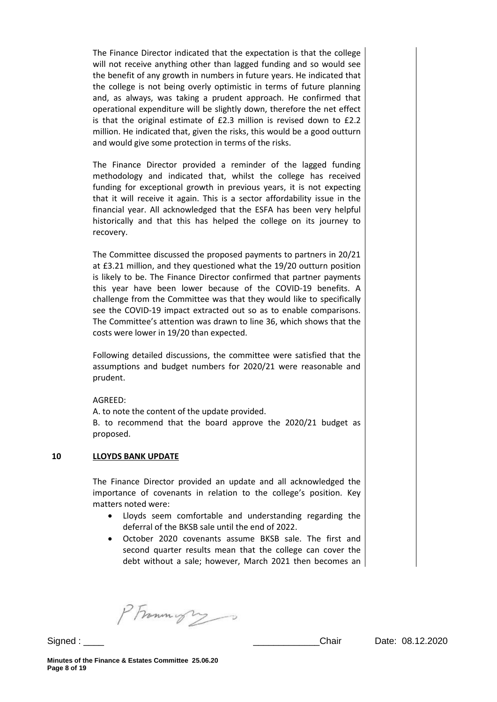The Finance Director indicated that the expectation is that the college will not receive anything other than lagged funding and so would see the benefit of any growth in numbers in future years. He indicated that the college is not being overly optimistic in terms of future planning and, as always, was taking a prudent approach. He confirmed that operational expenditure will be slightly down, therefore the net effect is that the original estimate of £2.3 million is revised down to £2.2 million. He indicated that, given the risks, this would be a good outturn and would give some protection in terms of the risks.

The Finance Director provided a reminder of the lagged funding methodology and indicated that, whilst the college has received funding for exceptional growth in previous years, it is not expecting that it will receive it again. This is a sector affordability issue in the financial year. All acknowledged that the ESFA has been very helpful historically and that this has helped the college on its journey to recovery.

The Committee discussed the proposed payments to partners in 20/21 at £3.21 million, and they questioned what the 19/20 outturn position is likely to be. The Finance Director confirmed that partner payments this year have been lower because of the COVID-19 benefits. A challenge from the Committee was that they would like to specifically see the COVID-19 impact extracted out so as to enable comparisons. The Committee's attention was drawn to line 36, which shows that the costs were lower in 19/20 than expected.

Following detailed discussions, the committee were satisfied that the assumptions and budget numbers for 2020/21 were reasonable and prudent.

AGREED:

A. to note the content of the update provided.

B. to recommend that the board approve the 2020/21 budget as proposed.

#### **10 LLOYDS BANK UPDATE**

The Finance Director provided an update and all acknowledged the importance of covenants in relation to the college's position. Key matters noted were:

- Lloyds seem comfortable and understanding regarding the deferral of the BKSB sale until the end of 2022.
- October 2020 covenants assume BKSB sale. The first and second quarter results mean that the college can cover the debt without a sale; however, March 2021 then becomes an

PFrommys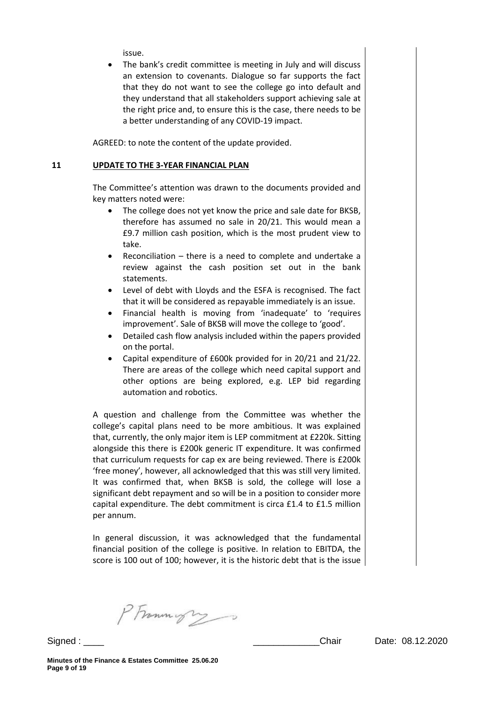issue.

 The bank's credit committee is meeting in July and will discuss an extension to covenants. Dialogue so far supports the fact that they do not want to see the college go into default and they understand that all stakeholders support achieving sale at the right price and, to ensure this is the case, there needs to be a better understanding of any COVID-19 impact.

AGREED: to note the content of the update provided.

### **11 UPDATE TO THE 3-YEAR FINANCIAL PLAN**

The Committee's attention was drawn to the documents provided and key matters noted were:

- The college does not yet know the price and sale date for BKSB, therefore has assumed no sale in 20/21. This would mean a £9.7 million cash position, which is the most prudent view to take.
- Reconciliation there is a need to complete and undertake a review against the cash position set out in the bank statements.
- Level of debt with Lloyds and the ESFA is recognised. The fact that it will be considered as repayable immediately is an issue.
- Financial health is moving from 'inadequate' to 'requires improvement'. Sale of BKSB will move the college to 'good'.
- Detailed cash flow analysis included within the papers provided on the portal.
- Capital expenditure of £600k provided for in 20/21 and 21/22. There are areas of the college which need capital support and other options are being explored, e.g. LEP bid regarding automation and robotics.

A question and challenge from the Committee was whether the college's capital plans need to be more ambitious. It was explained that, currently, the only major item is LEP commitment at £220k. Sitting alongside this there is £200k generic IT expenditure. It was confirmed that curriculum requests for cap ex are being reviewed. There is £200k 'free money', however, all acknowledged that this was still very limited. It was confirmed that, when BKSB is sold, the college will lose a significant debt repayment and so will be in a position to consider more capital expenditure. The debt commitment is circa £1.4 to £1.5 million per annum.

In general discussion, it was acknowledged that the fundamental financial position of the college is positive. In relation to EBITDA, the score is 100 out of 100; however, it is the historic debt that is the issue

PFrommys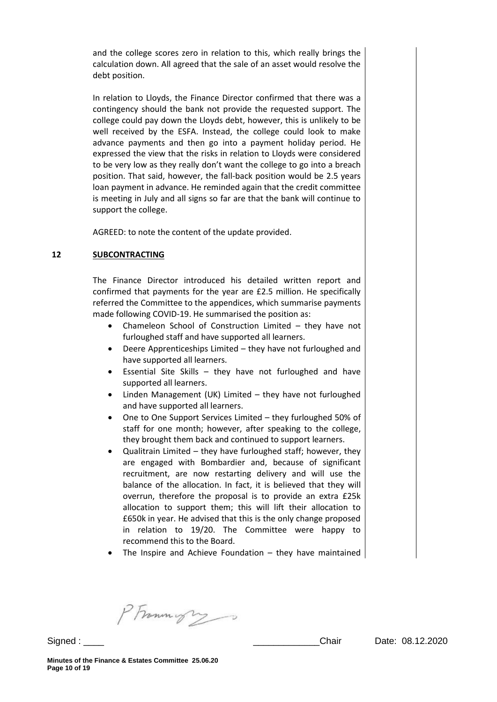and the college scores zero in relation to this, which really brings the calculation down. All agreed that the sale of an asset would resolve the debt position.

In relation to Lloyds, the Finance Director confirmed that there was a contingency should the bank not provide the requested support. The college could pay down the Lloyds debt, however, this is unlikely to be well received by the ESFA. Instead, the college could look to make advance payments and then go into a payment holiday period. He expressed the view that the risks in relation to Lloyds were considered to be very low as they really don't want the college to go into a breach position. That said, however, the fall-back position would be 2.5 years loan payment in advance. He reminded again that the credit committee is meeting in July and all signs so far are that the bank will continue to support the college.

AGREED: to note the content of the update provided.

### **12 SUBCONTRACTING**

The Finance Director introduced his detailed written report and confirmed that payments for the year are £2.5 million. He specifically referred the Committee to the appendices, which summarise payments made following COVID-19. He summarised the position as:

- Chameleon School of Construction Limited they have not furloughed staff and have supported all learners.
- Deere Apprenticeships Limited they have not furloughed and have supported all learners.
- Essential Site Skills they have not furloughed and have supported all learners.
- Linden Management (UK) Limited they have not furloughed and have supported all learners.
- One to One Support Services Limited they furloughed 50% of staff for one month; however, after speaking to the college, they brought them back and continued to support learners.
- Qualitrain Limited they have furloughed staff; however, they are engaged with Bombardier and, because of significant recruitment, are now restarting delivery and will use the balance of the allocation. In fact, it is believed that they will overrun, therefore the proposal is to provide an extra £25k allocation to support them; this will lift their allocation to £650k in year. He advised that this is the only change proposed in relation to 19/20. The Committee were happy to recommend this to the Board.
- The Inspire and Achieve Foundation they have maintained

PFrammight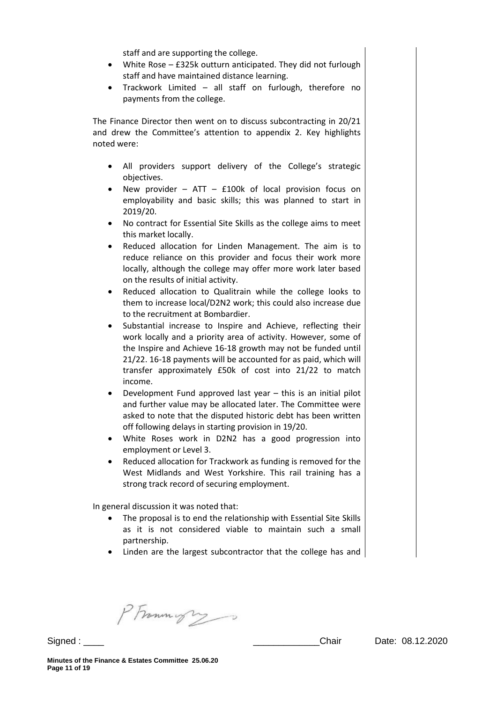staff and are supporting the college.

- White Rose £325k outturn anticipated. They did not furlough staff and have maintained distance learning.
- Trackwork Limited all staff on furlough, therefore no payments from the college.

The Finance Director then went on to discuss subcontracting in 20/21 and drew the Committee's attention to appendix 2. Key highlights noted were:

- All providers support delivery of the College's strategic objectives.
- New provider ATT £100k of local provision focus on employability and basic skills; this was planned to start in 2019/20.
- No contract for Essential Site Skills as the college aims to meet this market locally.
- Reduced allocation for Linden Management. The aim is to reduce reliance on this provider and focus their work more locally, although the college may offer more work later based on the results of initial activity.
- Reduced allocation to Qualitrain while the college looks to them to increase local/D2N2 work; this could also increase due to the recruitment at Bombardier.
- Substantial increase to Inspire and Achieve, reflecting their work locally and a priority area of activity. However, some of the Inspire and Achieve 16-18 growth may not be funded until 21/22. 16-18 payments will be accounted for as paid, which will transfer approximately £50k of cost into 21/22 to match income.
- Development Fund approved last year this is an initial pilot and further value may be allocated later. The Committee were asked to note that the disputed historic debt has been written off following delays in starting provision in 19/20.
- White Roses work in D2N2 has a good progression into employment or Level 3.
- Reduced allocation for Trackwork as funding is removed for the West Midlands and West Yorkshire. This rail training has a strong track record of securing employment.

In general discussion it was noted that:

- The proposal is to end the relationship with Essential Site Skills as it is not considered viable to maintain such a small partnership.
- Linden are the largest subcontractor that the college has and

PFramingry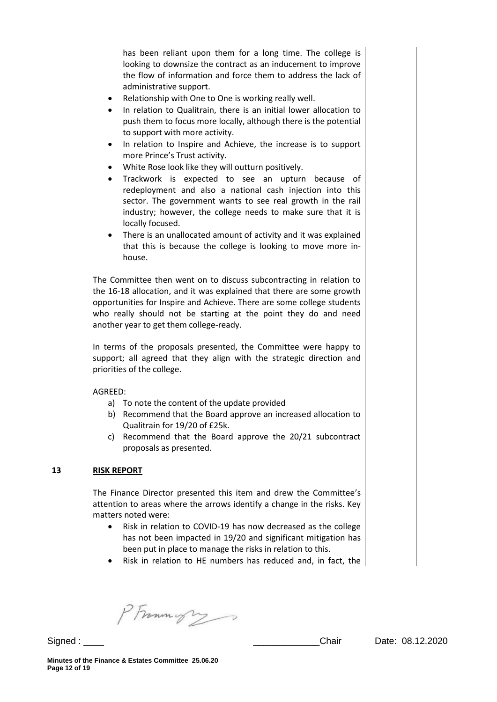has been reliant upon them for a long time. The college is looking to downsize the contract as an inducement to improve the flow of information and force them to address the lack of administrative support.

- Relationship with One to One is working really well.
- In relation to Qualitrain, there is an initial lower allocation to push them to focus more locally, although there is the potential to support with more activity.
- In relation to Inspire and Achieve, the increase is to support more Prince's Trust activity.
- White Rose look like they will outturn positively.
- Trackwork is expected to see an upturn because of redeployment and also a national cash injection into this sector. The government wants to see real growth in the rail industry; however, the college needs to make sure that it is locally focused.
- There is an unallocated amount of activity and it was explained that this is because the college is looking to move more inhouse.

The Committee then went on to discuss subcontracting in relation to the 16-18 allocation, and it was explained that there are some growth opportunities for Inspire and Achieve. There are some college students who really should not be starting at the point they do and need another year to get them college-ready.

In terms of the proposals presented, the Committee were happy to support; all agreed that they align with the strategic direction and priorities of the college.

### AGREED:

- a) To note the content of the update provided
- b) Recommend that the Board approve an increased allocation to Qualitrain for 19/20 of £25k.
- c) Recommend that the Board approve the 20/21 subcontract proposals as presented.

### **13 RISK REPORT**

The Finance Director presented this item and drew the Committee's attention to areas where the arrows identify a change in the risks. Key matters noted were:

- Risk in relation to COVID-19 has now decreased as the college has not been impacted in 19/20 and significant mitigation has been put in place to manage the risks in relation to this.
- Risk in relation to HE numbers has reduced and, in fact, the

PFrammight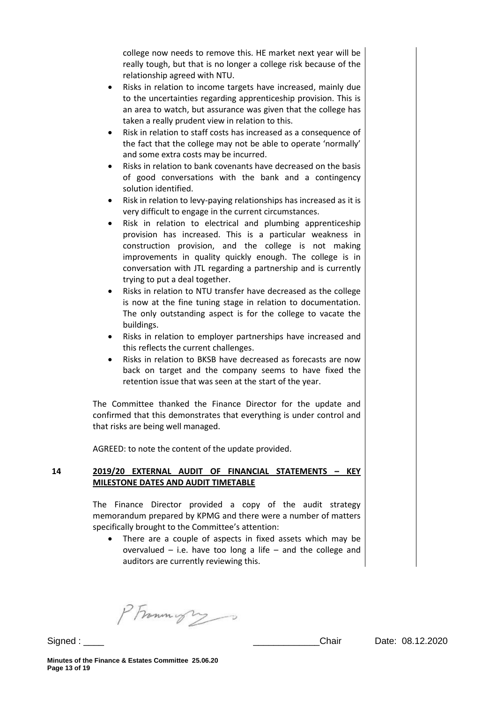college now needs to remove this. HE market next year will be really tough, but that is no longer a college risk because of the relationship agreed with NTU.

- Risks in relation to income targets have increased, mainly due to the uncertainties regarding apprenticeship provision. This is an area to watch, but assurance was given that the college has taken a really prudent view in relation to this.
- Risk in relation to staff costs has increased as a consequence of the fact that the college may not be able to operate 'normally' and some extra costs may be incurred.
- Risks in relation to bank covenants have decreased on the basis of good conversations with the bank and a contingency solution identified.
- Risk in relation to levy-paying relationships has increased as it is very difficult to engage in the current circumstances.
- Risk in relation to electrical and plumbing apprenticeship provision has increased. This is a particular weakness in construction provision, and the college is not making improvements in quality quickly enough. The college is in conversation with JTL regarding a partnership and is currently trying to put a deal together.
- Risks in relation to NTU transfer have decreased as the college is now at the fine tuning stage in relation to documentation. The only outstanding aspect is for the college to vacate the buildings.
- Risks in relation to employer partnerships have increased and this reflects the current challenges.
- Risks in relation to BKSB have decreased as forecasts are now back on target and the company seems to have fixed the retention issue that was seen at the start of the year.

The Committee thanked the Finance Director for the update and confirmed that this demonstrates that everything is under control and that risks are being well managed.

AGREED: to note the content of the update provided.

### **14 2019/20 EXTERNAL AUDIT OF FINANCIAL STATEMENTS – KEY MILESTONE DATES AND AUDIT TIMETABLE**

The Finance Director provided a copy of the audit strategy memorandum prepared by KPMG and there were a number of matters specifically brought to the Committee's attention:

 There are a couple of aspects in fixed assets which may be overvalued  $-$  i.e. have too long a life  $-$  and the college and auditors are currently reviewing this.

PFramingry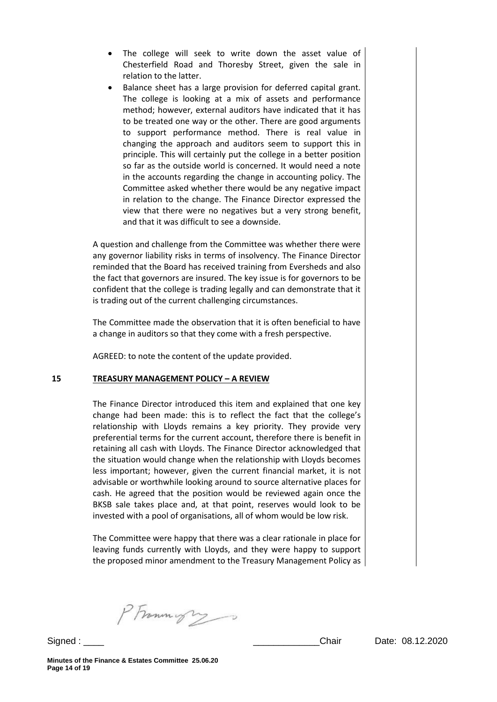- The college will seek to write down the asset value of Chesterfield Road and Thoresby Street, given the sale in relation to the latter.
- Balance sheet has a large provision for deferred capital grant. The college is looking at a mix of assets and performance method; however, external auditors have indicated that it has to be treated one way or the other. There are good arguments to support performance method. There is real value in changing the approach and auditors seem to support this in principle. This will certainly put the college in a better position so far as the outside world is concerned. It would need a note in the accounts regarding the change in accounting policy. The Committee asked whether there would be any negative impact in relation to the change. The Finance Director expressed the view that there were no negatives but a very strong benefit, and that it was difficult to see a downside.

A question and challenge from the Committee was whether there were any governor liability risks in terms of insolvency. The Finance Director reminded that the Board has received training from Eversheds and also the fact that governors are insured. The key issue is for governors to be confident that the college is trading legally and can demonstrate that it is trading out of the current challenging circumstances.

The Committee made the observation that it is often beneficial to have a change in auditors so that they come with a fresh perspective.

AGREED: to note the content of the update provided.

#### **15 TREASURY MANAGEMENT POLICY – A REVIEW**

The Finance Director introduced this item and explained that one key change had been made: this is to reflect the fact that the college's relationship with Lloyds remains a key priority. They provide very preferential terms for the current account, therefore there is benefit in retaining all cash with Lloyds. The Finance Director acknowledged that the situation would change when the relationship with Lloyds becomes less important; however, given the current financial market, it is not advisable or worthwhile looking around to source alternative places for cash. He agreed that the position would be reviewed again once the BKSB sale takes place and, at that point, reserves would look to be invested with a pool of organisations, all of whom would be low risk.

The Committee were happy that there was a clear rationale in place for leaving funds currently with Lloyds, and they were happy to support the proposed minor amendment to the Treasury Management Policy as

PFrammyrs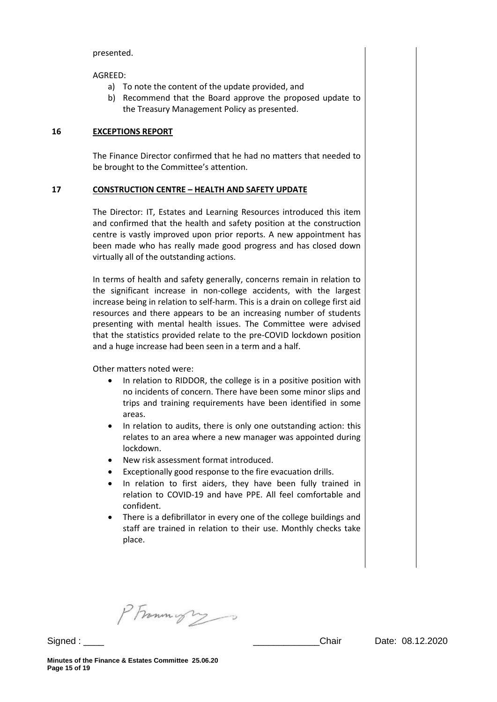presented.

AGREED:

- a) To note the content of the update provided, and
- b) Recommend that the Board approve the proposed update to the Treasury Management Policy as presented.

#### **16 EXCEPTIONS REPORT**

The Finance Director confirmed that he had no matters that needed to be brought to the Committee's attention.

### **17 CONSTRUCTION CENTRE – HEALTH AND SAFETY UPDATE**

The Director: IT, Estates and Learning Resources introduced this item and confirmed that the health and safety position at the construction centre is vastly improved upon prior reports. A new appointment has been made who has really made good progress and has closed down virtually all of the outstanding actions.

In terms of health and safety generally, concerns remain in relation to the significant increase in non-college accidents, with the largest increase being in relation to self-harm. This is a drain on college first aid resources and there appears to be an increasing number of students presenting with mental health issues. The Committee were advised that the statistics provided relate to the pre-COVID lockdown position and a huge increase had been seen in a term and a half.

Other matters noted were:

- In relation to RIDDOR, the college is in a positive position with no incidents of concern. There have been some minor slips and trips and training requirements have been identified in some areas.
- In relation to audits, there is only one outstanding action: this relates to an area where a new manager was appointed during lockdown.
- New risk assessment format introduced.
- Exceptionally good response to the fire evacuation drills.
- In relation to first aiders, they have been fully trained in relation to COVID-19 and have PPE. All feel comfortable and confident.
- There is a defibrillator in every one of the college buildings and staff are trained in relation to their use. Monthly checks take place.

PFramings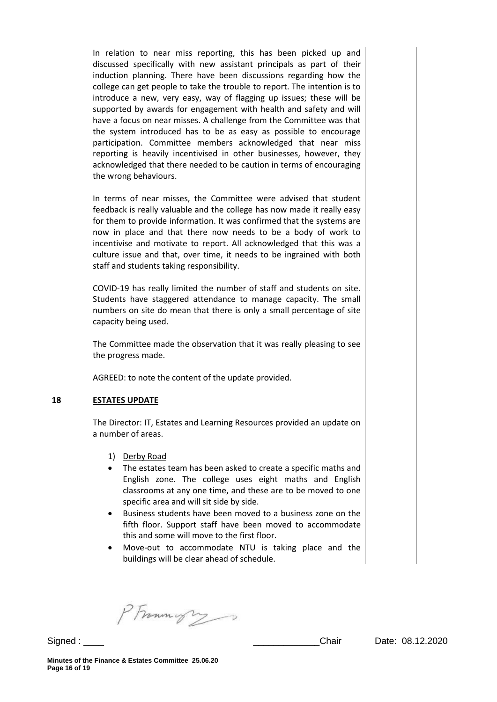In relation to near miss reporting, this has been picked up and discussed specifically with new assistant principals as part of their induction planning. There have been discussions regarding how the college can get people to take the trouble to report. The intention is to introduce a new, very easy, way of flagging up issues; these will be supported by awards for engagement with health and safety and will have a focus on near misses. A challenge from the Committee was that the system introduced has to be as easy as possible to encourage participation. Committee members acknowledged that near miss reporting is heavily incentivised in other businesses, however, they acknowledged that there needed to be caution in terms of encouraging the wrong behaviours.

In terms of near misses, the Committee were advised that student feedback is really valuable and the college has now made it really easy for them to provide information. It was confirmed that the systems are now in place and that there now needs to be a body of work to incentivise and motivate to report. All acknowledged that this was a culture issue and that, over time, it needs to be ingrained with both staff and students taking responsibility.

COVID-19 has really limited the number of staff and students on site. Students have staggered attendance to manage capacity. The small numbers on site do mean that there is only a small percentage of site capacity being used.

The Committee made the observation that it was really pleasing to see the progress made.

AGREED: to note the content of the update provided.

#### **18 ESTATES UPDATE**

The Director: IT, Estates and Learning Resources provided an update on a number of areas.

- 1) Derby Road
- The estates team has been asked to create a specific maths and English zone. The college uses eight maths and English classrooms at any one time, and these are to be moved to one specific area and will sit side by side.
- Business students have been moved to a business zone on the fifth floor. Support staff have been moved to accommodate this and some will move to the first floor.
- Move-out to accommodate NTU is taking place and the buildings will be clear ahead of schedule.

PFrammight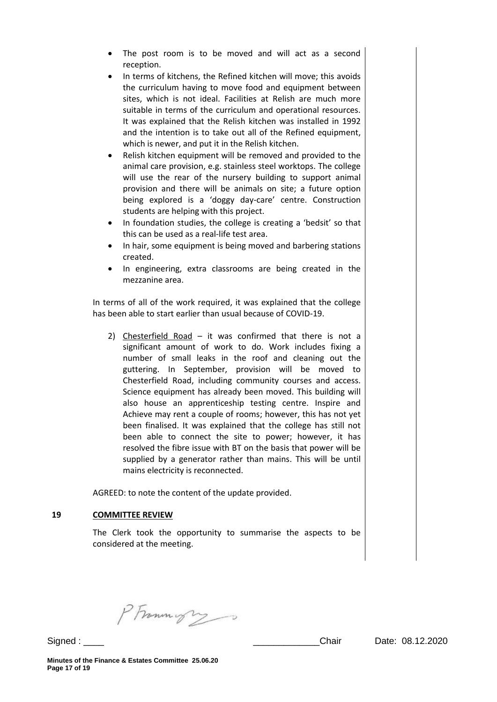- The post room is to be moved and will act as a second reception.
- In terms of kitchens, the Refined kitchen will move; this avoids the curriculum having to move food and equipment between sites, which is not ideal. Facilities at Relish are much more suitable in terms of the curriculum and operational resources. It was explained that the Relish kitchen was installed in 1992 and the intention is to take out all of the Refined equipment, which is newer, and put it in the Relish kitchen.
- Relish kitchen equipment will be removed and provided to the animal care provision, e.g. stainless steel worktops. The college will use the rear of the nursery building to support animal provision and there will be animals on site; a future option being explored is a 'doggy day-care' centre. Construction students are helping with this project.
- In foundation studies, the college is creating a 'bedsit' so that this can be used as a real-life test area.
- In hair, some equipment is being moved and barbering stations created.
- In engineering, extra classrooms are being created in the mezzanine area.

In terms of all of the work required, it was explained that the college has been able to start earlier than usual because of COVID-19.

2) Chesterfield Road – it was confirmed that there is not a significant amount of work to do. Work includes fixing a number of small leaks in the roof and cleaning out the guttering. In September, provision will be moved to Chesterfield Road, including community courses and access. Science equipment has already been moved. This building will also house an apprenticeship testing centre. Inspire and Achieve may rent a couple of rooms; however, this has not yet been finalised. It was explained that the college has still not been able to connect the site to power; however, it has resolved the fibre issue with BT on the basis that power will be supplied by a generator rather than mains. This will be until mains electricity is reconnected.

AGREED: to note the content of the update provided.

#### **19 COMMITTEE REVIEW**

The Clerk took the opportunity to summarise the aspects to be considered at the meeting.

PFrammigry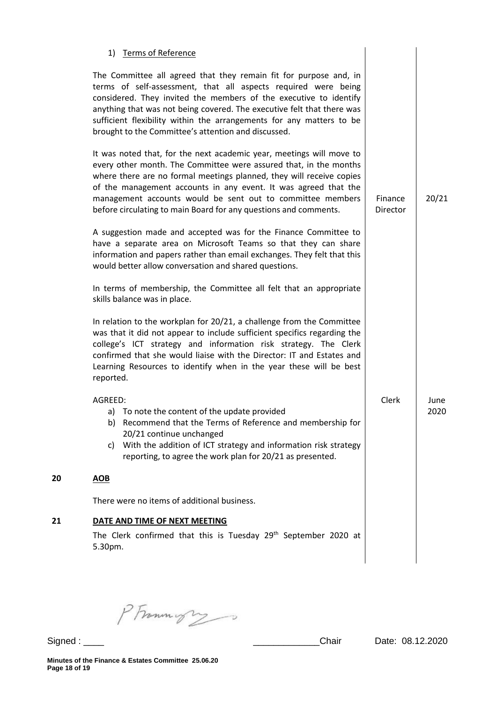|    | 1) Terms of Reference                                                                                                                                                                                                                                                                                                                                                                                                  |                     |              |
|----|------------------------------------------------------------------------------------------------------------------------------------------------------------------------------------------------------------------------------------------------------------------------------------------------------------------------------------------------------------------------------------------------------------------------|---------------------|--------------|
|    | The Committee all agreed that they remain fit for purpose and, in<br>terms of self-assessment, that all aspects required were being<br>considered. They invited the members of the executive to identify<br>anything that was not being covered. The executive felt that there was<br>sufficient flexibility within the arrangements for any matters to be<br>brought to the Committee's attention and discussed.      |                     |              |
|    | It was noted that, for the next academic year, meetings will move to<br>every other month. The Committee were assured that, in the months<br>where there are no formal meetings planned, they will receive copies<br>of the management accounts in any event. It was agreed that the<br>management accounts would be sent out to committee members<br>before circulating to main Board for any questions and comments. | Finance<br>Director | 20/21        |
|    | A suggestion made and accepted was for the Finance Committee to<br>have a separate area on Microsoft Teams so that they can share<br>information and papers rather than email exchanges. They felt that this<br>would better allow conversation and shared questions.                                                                                                                                                  |                     |              |
|    | In terms of membership, the Committee all felt that an appropriate<br>skills balance was in place.                                                                                                                                                                                                                                                                                                                     |                     |              |
|    | In relation to the workplan for 20/21, a challenge from the Committee<br>was that it did not appear to include sufficient specifics regarding the<br>college's ICT strategy and information risk strategy. The Clerk<br>confirmed that she would liaise with the Director: IT and Estates and<br>Learning Resources to identify when in the year these will be best<br>reported.                                       |                     |              |
|    | AGREED:<br>To note the content of the update provided<br>a)<br>Recommend that the Terms of Reference and membership for<br>b)<br>20/21 continue unchanged<br>With the addition of ICT strategy and information risk strategy<br>C)<br>reporting, to agree the work plan for 20/21 as presented.                                                                                                                        | Clerk               | June<br>2020 |
| 20 | <b>AOB</b>                                                                                                                                                                                                                                                                                                                                                                                                             |                     |              |
|    | There were no items of additional business.                                                                                                                                                                                                                                                                                                                                                                            |                     |              |
| 21 | DATE AND TIME OF NEXT MEETING<br>The Clerk confirmed that this is Tuesday 29 <sup>th</sup> September 2020 at<br>5.30pm.                                                                                                                                                                                                                                                                                                |                     |              |

PFrommigry

**20**